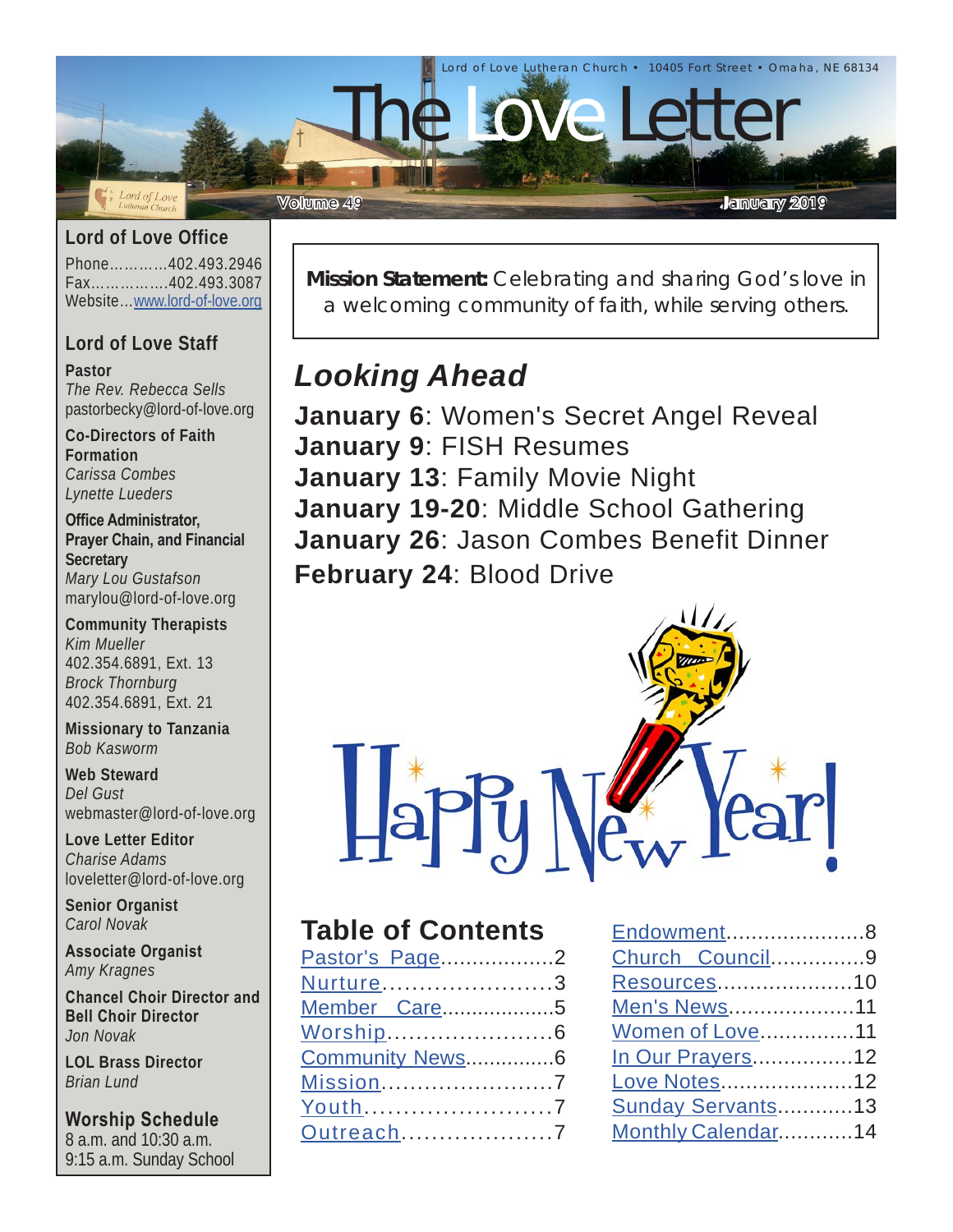

#### **Lord of Love Office**

Phone…………402.493.2946 Fax…………….402.493.3087 Website…[www.lord-of-love.org](http://www.lord-of-love.org)

### **Lord of Love Staff**

**Pastor**

*The Rev. Rebecca Sells* pastorbecky@lord-of-love.org

**Co-Directors of Faith Formation** *Carissa Combes Lynette Lueders*

**Office Administrator, Prayer Chain, and Financial Secretary** *Mary Lou Gustafson* marylou@lord-of-love.org

**Community Therapists** *Kim Mueller* 402.354.6891, Ext. 13 *Brock Thornburg* 402.354.6891, Ext. 21

**Missionary to Tanzania** *Bob Kasworm*

**Web Steward** *Del Gust* webmaster@lord-of-love.org

**Love Letter Editor** *Charise Adams* loveletter@lord-of-love.org

**Senior Organist** *Carol Novak*

**Associate Organist** *Amy Kragnes*

**Chancel Choir Director and Bell Choir Director** *Jon Novak*

**LOL Brass Director** *Brian Lund*

**Worship Schedule** 8 a.m. and 10:30 a.m. 9:15 a.m. Sunday School **Mission Statement:** Celebrating and sharing God's love in a welcoming community of faith, while serving others.

# *Looking Ahead*

**January 6**: Women's Secret Angel Reveal **January 9**: FISH Resumes **January 13**: Family Movie Night **January 19-20**: Middle School Gathering **January 26**: Jason Combes Benefit Dinner **February 24**: Blood Drive



### **Table of Contents**

| Pastor's Page2  |  |
|-----------------|--|
| Nurture3        |  |
| Member Care5    |  |
|                 |  |
| Community News6 |  |
| Mission7        |  |
| Youth7          |  |
| Outreach7       |  |
|                 |  |

| Endowment8          |  |
|---------------------|--|
| Church Council9     |  |
| Resources10         |  |
| <b>Men's News11</b> |  |
| Women of Love11     |  |
| In Our Prayers12    |  |
| Love Notes12        |  |
| Sunday Servants13   |  |
| Monthly Calendar14  |  |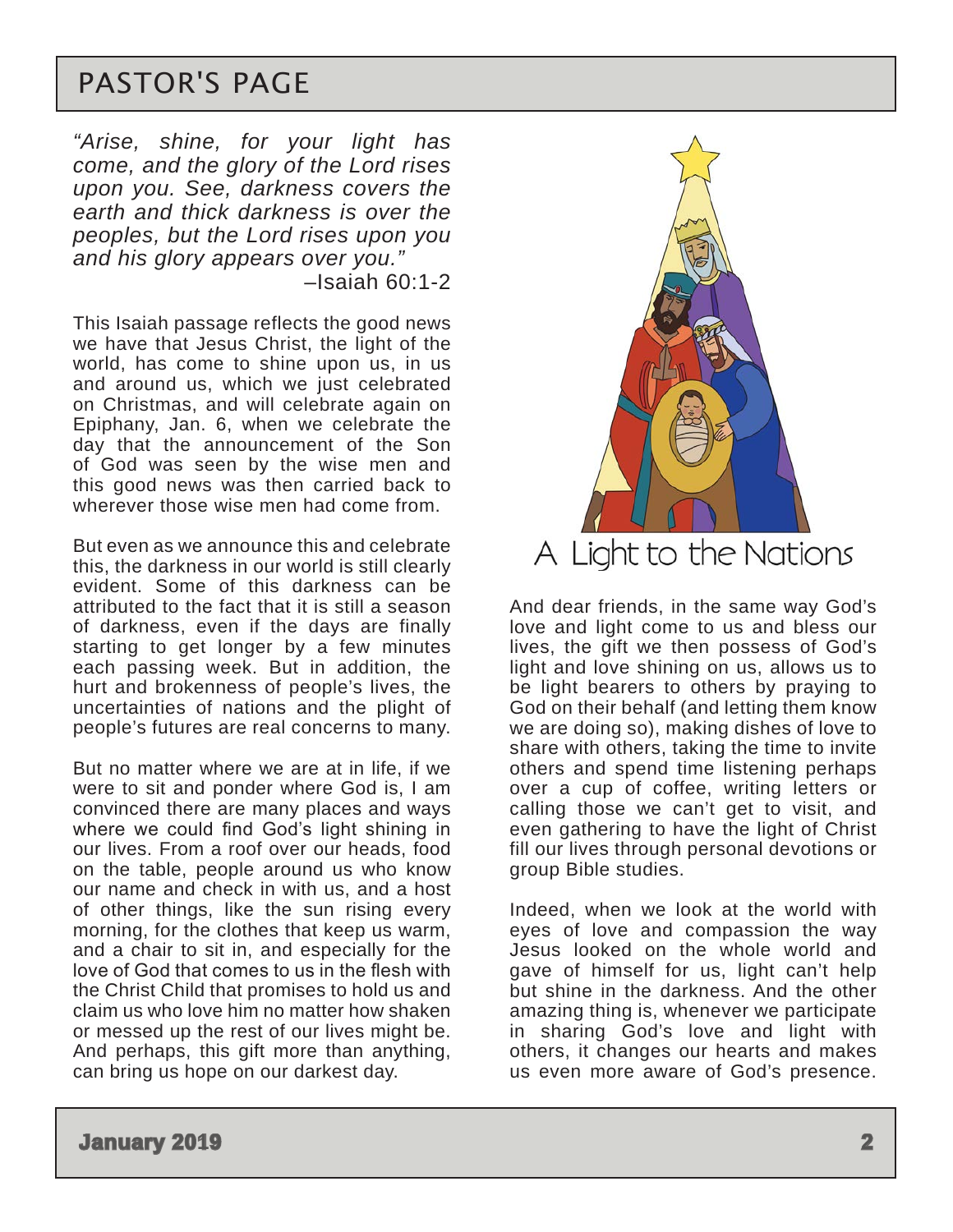# <span id="page-1-0"></span>PASTOR'S PAGE

*"Arise, shine, for your light has come, and the glory of the Lord rises upon you. See, darkness covers the earth and thick darkness is over the peoples, but the Lord rises upon you and his glory appears over you."*  $-$ Isaiah 60:1-2

This Isaiah passage reflects the good news we have that Jesus Christ, the light of the world, has come to shine upon us, in us and around us, which we just celebrated on Christmas, and will celebrate again on Epiphany, Jan. 6, when we celebrate the day that the announcement of the Son of God was seen by the wise men and this good news was then carried back to wherever those wise men had come from.

But even as we announce this and celebrate this, the darkness in our world is still clearly evident. Some of this darkness can be attributed to the fact that it is still a season of darkness, even if the days are finally starting to get longer by a few minutes each passing week. But in addition, the hurt and brokenness of people's lives, the uncertainties of nations and the plight of people's futures are real concerns to many.

But no matter where we are at in life, if we were to sit and ponder where God is, I am convinced there are many places and ways where we could find God's light shining in our lives. From a roof over our heads, food on the table, people around us who know our name and check in with us, and a host of other things, like the sun rising every morning, for the clothes that keep us warm, and a chair to sit in, and especially for the love of God that comes to us in the flesh with the Christ Child that promises to hold us and claim us who love him no matter how shaken or messed up the rest of our lives might be. And perhaps, this gift more than anything, can bring us hope on our darkest day.



And dear friends, in the same way God's love and light come to us and bless our lives, the gift we then possess of God's light and love shining on us, allows us to be light bearers to others by praying to God on their behalf (and letting them know we are doing so), making dishes of love to share with others, taking the time to invite others and spend time listening perhaps over a cup of coffee, writing letters or calling those we can't get to visit, and even gathering to have the light of Christ fill our lives through personal devotions or group Bible studies.

Indeed, when we look at the world with eyes of love and compassion the way Jesus looked on the whole world and gave of himself for us, light can't help but shine in the darkness. And the other amazing thing is, whenever we participate in sharing God's love and light with others, it changes our hearts and makes us even more aware of God's presence.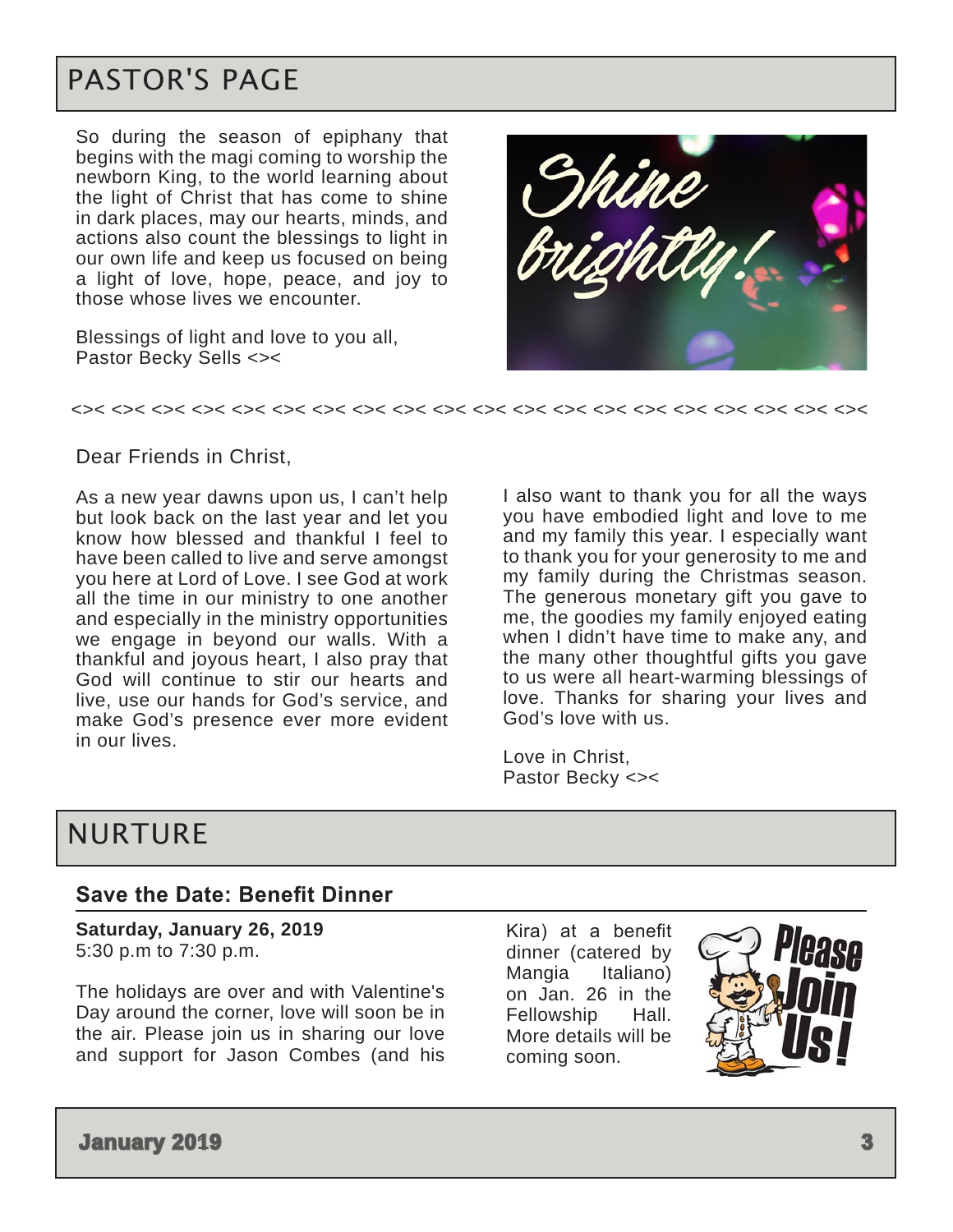# <span id="page-2-0"></span>PASTOR'S PAGE

So during the season of epiphany that begins with the magi coming to worship the newborn King, to the world learning about the light of Christ that has come to shine in dark places, may our hearts, minds, and actions also count the blessings to light in our own life and keep us focused on being a light of love, hope, peace, and joy to those whose lives we encounter.

Blessings of light and love to you all, Pastor Becky Sells <><



#### <>< <>< <>< <>< <>< <>< <>< <>< <>< <>< <>< <>< <>< <>< <>< <>< <>< <>< <>< <><

#### Dear Friends in Christ,

As a new year dawns upon us, I can't help but look back on the last year and let you know how blessed and thankful I feel to have been called to live and serve amongst you here at Lord of Love. I see God at work all the time in our ministry to one another and especially in the ministry opportunities we engage in beyond our walls. With a thankful and joyous heart, I also pray that God will continue to stir our hearts and live, use our hands for God's service, and make God's presence ever more evident in our lives.

I also want to thank you for all the ways you have embodied light and love to me and my family this year. I especially want to thank you for your generosity to me and my family during the Christmas season. The generous monetary gift you gave to me, the goodies my family enjoyed eating when I didn't have time to make any, and the many other thoughtful gifts you gave to us were all heart-warming blessings of love. Thanks for sharing your lives and God's love with us.

Love in Christ, Pastor Becky <><

## NURTURE

#### **Save the Date: Benefit Dinner**

**Saturday, January 26, 2019**  5:30 p.m to 7:30 p.m.

The holidays are over and with Valentine's Day around the corner, love will soon be in the air. Please join us in sharing our love and support for Jason Combes (and his Kira) at a benefit dinner (catered by Mangia Italiano) on Jan. 26 in the Fellowship Hall. More details will be coming soon.

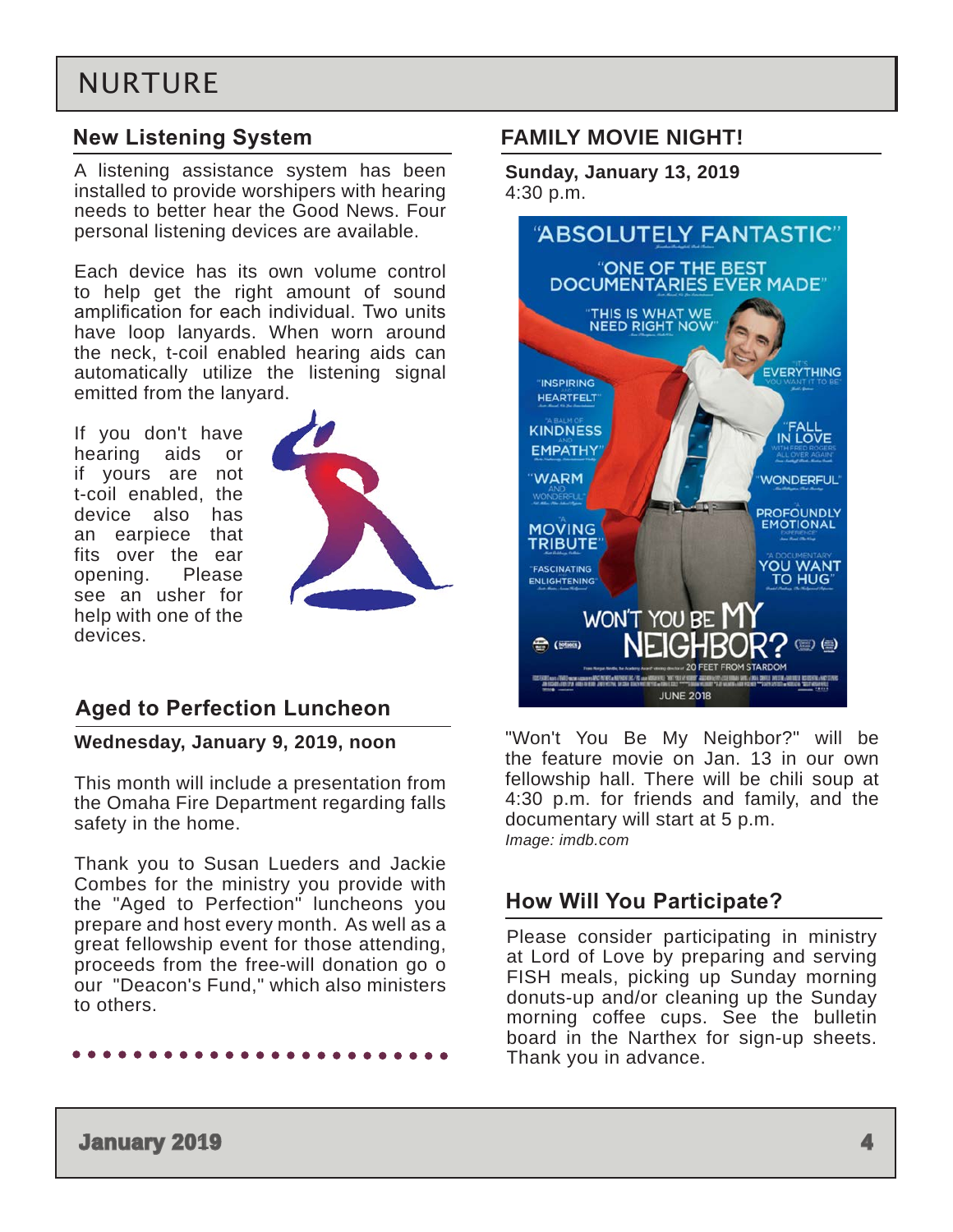# NURTURE

### **New Listening System**

A listening assistance system has been installed to provide worshipers with hearing needs to better hear the Good News. Four personal listening devices are available.

Each device has its own volume control to help get the right amount of sound amplification for each individual. Two units have loop lanyards. When worn around the neck, t-coil enabled hearing aids can automatically utilize the listening signal emitted from the lanyard.

If you don't have hearing aids or if yours are not t-coil enabled, the device also has an earpiece that fits over the ear opening. Please see an usher for help with one of the devices.



### **Aged to Perfection Luncheon**

#### **Wednesday, January 9, 2019, noon**

This month will include a presentation from the Omaha Fire Department regarding falls safety in the home.

Thank you to Susan Lueders and Jackie Combes for the ministry you provide with the "Aged to Perfection" luncheons you prepare and host every month. As well as a great fellowship event for those attending, proceeds from the free-will donation go o our "Deacon's Fund," which also ministers to others.

### **FAMILY MOVIE NIGHT!**

**Sunday, January 13, 2019** 4:30 p.m.



"Won't You Be My Neighbor?" will be the feature movie on Jan. 13 in our own fellowship hall. There will be chili soup at 4:30 p.m. for friends and family, and the documentary will start at 5 p.m. *Image: imdb.com*

### **How Will You Participate?**

Please consider participating in ministry at Lord of Love by preparing and serving FISH meals, picking up Sunday morning donuts-up and/or cleaning up the Sunday morning coffee cups. See the bulletin board in the Narthex for sign-up sheets. Thank you in advance.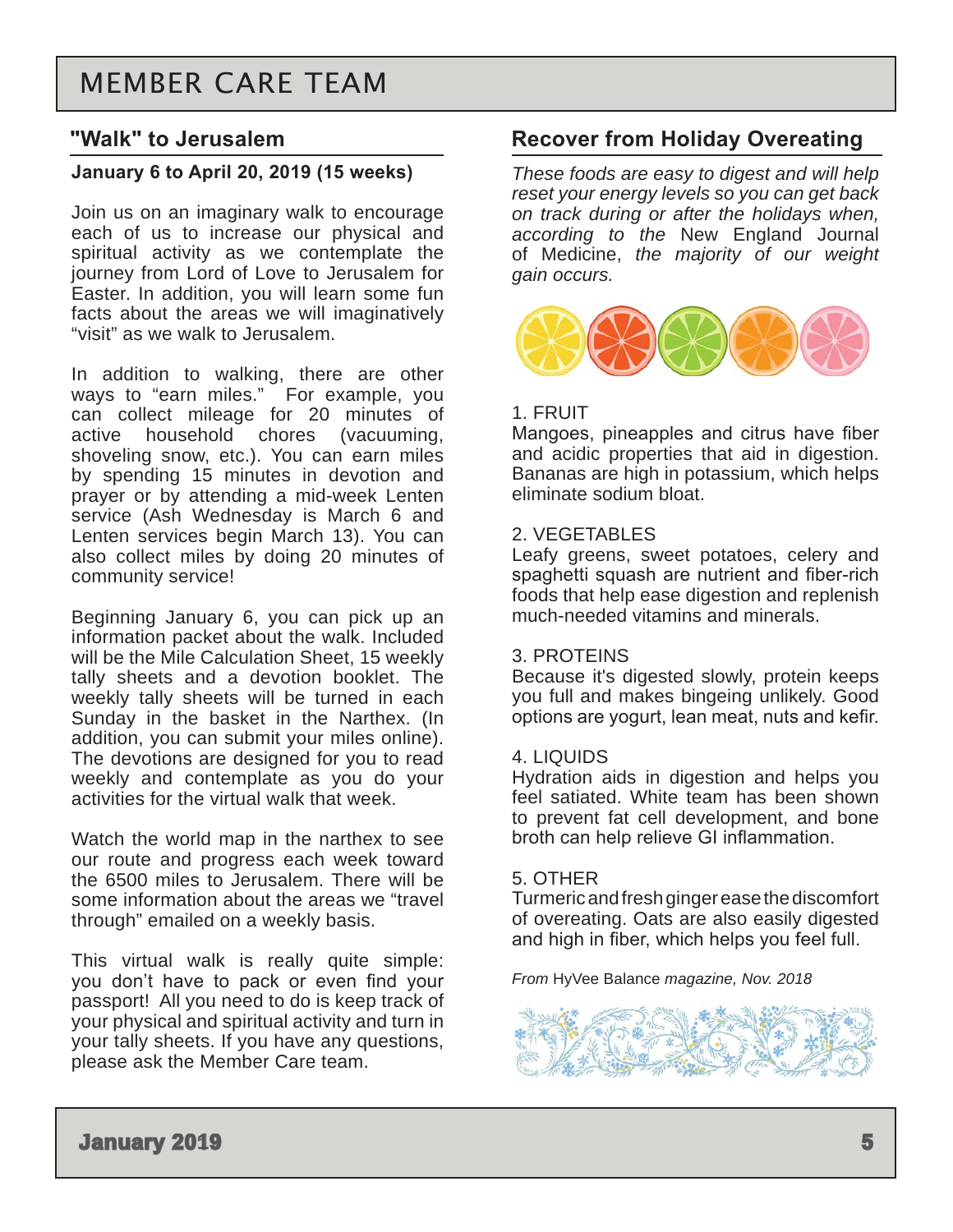### <span id="page-4-0"></span>**"Walk" to Jerusalem**

#### **January 6 to April 20, 2019 (15 weeks)**

Join us on an imaginary walk to encourage each of us to increase our physical and spiritual activity as we contemplate the journey from Lord of Love to Jerusalem for Easter. In addition, you will learn some fun facts about the areas we will imaginatively "visit" as we walk to Jerusalem.

In addition to walking, there are other ways to "earn miles." For example, you can collect mileage for 20 minutes of active household chores (vacuuming, shoveling snow, etc.). You can earn miles by spending 15 minutes in devotion and prayer or by attending a mid-week Lenten service (Ash Wednesday is March 6 and Lenten services begin March 13). You can also collect miles by doing 20 minutes of community service!

Beginning January 6, you can pick up an information packet about the walk. Included will be the Mile Calculation Sheet, 15 weekly tally sheets and a devotion booklet. The weekly tally sheets will be turned in each Sunday in the basket in the Narthex. (In addition, you can submit your miles online). The devotions are designed for you to read weekly and contemplate as you do your activities for the virtual walk that week.

Watch the world map in the narthex to see our route and progress each week toward the 6500 miles to Jerusalem. There will be some information about the areas we "travel through" emailed on a weekly basis.

This virtual walk is really quite simple: you don't have to pack or even find your passport! All you need to do is keep track of your physical and spiritual activity and turn in your tally sheets. If you have any questions, please ask the Member Care team.

### **Recover from Holiday Overeating**

*These foods are easy to digest and will help reset your energy levels so you can get back on track during or after the holidays when, according to the* New England Journal of Medicine, *the majority of our weight gain occurs.*



#### 1. FRUIT

Mangoes, pineapples and citrus have fiber and acidic properties that aid in digestion. Bananas are high in potassium, which helps eliminate sodium bloat.

#### 2. VEGETABLES

Leafy greens, sweet potatoes, celery and spaghetti squash are nutrient and fiber-rich foods that help ease digestion and replenish much-needed vitamins and minerals.

#### 3. PROTEINS

Because it's digested slowly, protein keeps you full and makes bingeing unlikely. Good options are yogurt, lean meat, nuts and kefir.

#### 4. LIQUIDS

Hydration aids in digestion and helps you feel satiated. White team has been shown to prevent fat cell development, and bone broth can help relieve GI inflammation.

#### 5. OTHER

Turmeric and fresh ginger ease the discomfort of overeating. Oats are also easily digested and high in fiber, which helps you feel full.

*From* HyVee Balance *magazine, Nov. 2018*

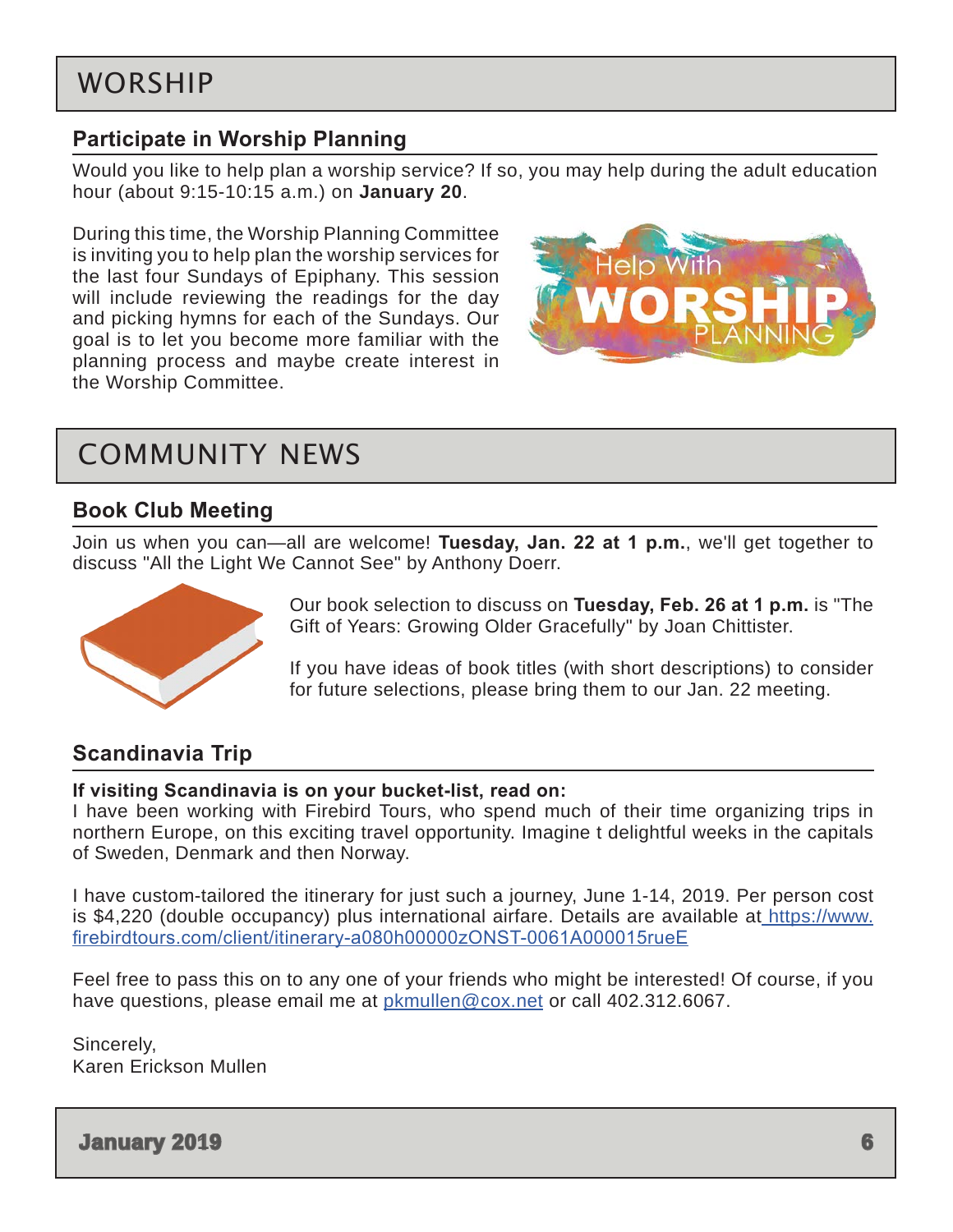### <span id="page-5-0"></span>**Participate in Worship Planning**

Would you like to help plan a worship service? If so, you may help during the adult education hour (about 9:15-10:15 a.m.) on **January 20**.

During this time, the Worship Planning Committee is inviting you to help plan the worship services for the last four Sundays of Epiphany. This session will include reviewing the readings for the day and picking hymns for each of the Sundays. Our goal is to let you become more familiar with the planning process and maybe create interest in the Worship Committee.



# COMMUNITY NEWS

### **Book Club Meeting**

Join us when you can—all are welcome! **Tuesday, Jan. 22 at 1 p.m.**, we'll get together to discuss "All the Light We Cannot See" by Anthony Doerr.



Our book selection to discuss on **Tuesday, Feb. 26 at 1 p.m.** is "The Gift of Years: Growing Older Gracefully" by Joan Chittister.

If you have ideas of book titles (with short descriptions) to consider for future selections, please bring them to our Jan. 22 meeting.

### **Scandinavia Trip**

#### **If visiting Scandinavia is on your bucket-list, read on:**

I have been working with Firebird Tours, who spend much of their time organizing trips in northern Europe, on this exciting travel opportunity. Imagine t delightful weeks in the capitals of Sweden, Denmark and then Norway.

I have custom-tailored the itinerary for just such a journey, June 1-14, 2019. Per person cost is \$4,220 (double occupancy) plus international airfare. Details are available at [https://www.](https://www.firebirdtours.com/client/itinerary-a080h00000zONST-0061A000015rueE) [firebirdtours.com/client/itinerary-a080h00000zONST-0061A000015rueE](https://www.firebirdtours.com/client/itinerary-a080h00000zONST-0061A000015rueE)

Feel free to pass this on to any one of your friends who might be interested! Of course, if you have questions, please email me at [pkmullen@cox.net](mailto:pkmullen@cox.net) or call 402.312.6067.

Sincerely, Karen Erickson Mullen

**January 2019 6**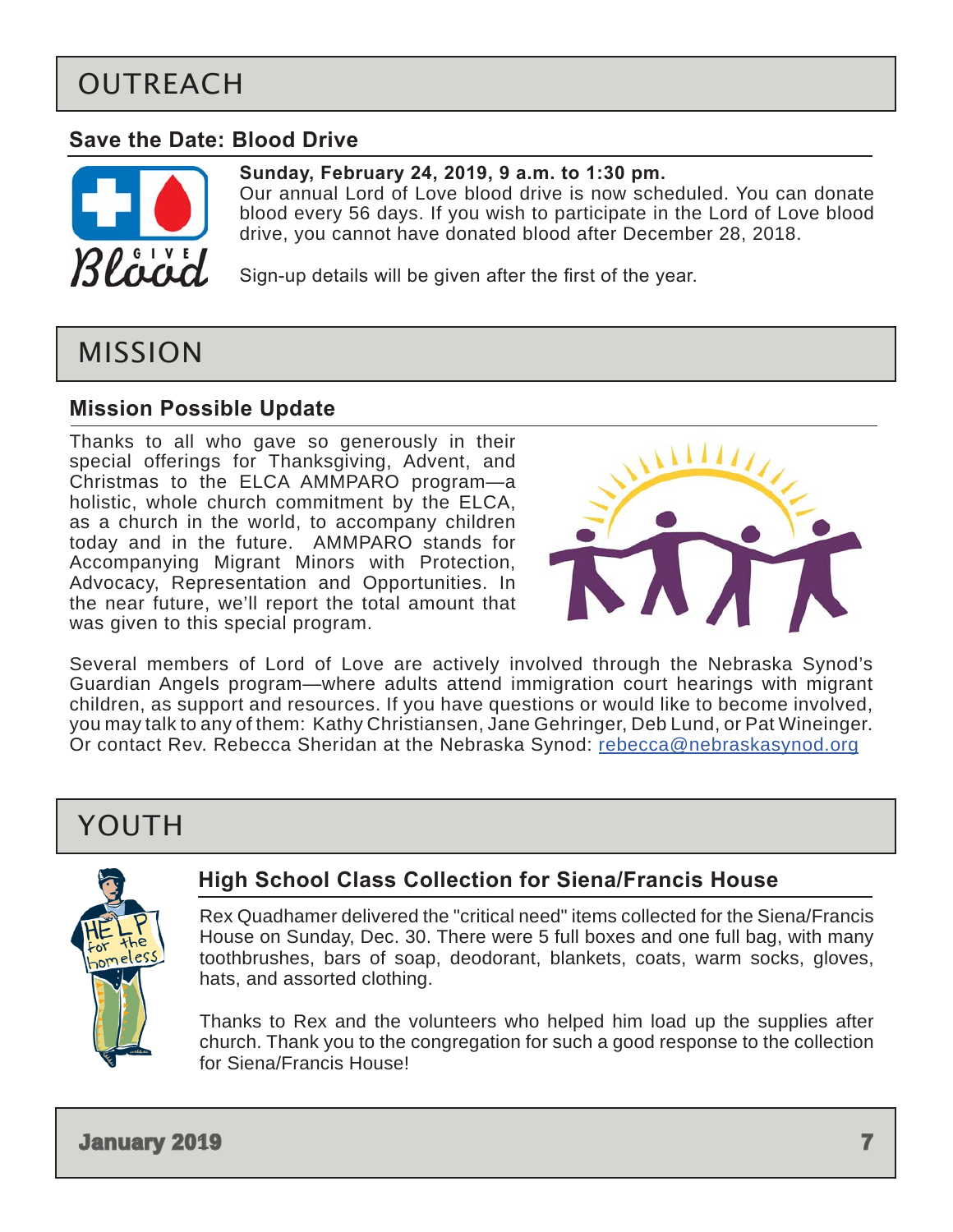# <span id="page-6-0"></span>OUTREACH

### **Save the Date: Blood Drive**



### **Sunday, February 24, 2019, 9 a.m. to 1:30 pm.**

Our annual Lord of Love blood drive is now scheduled. You can donate blood every 56 days. If you wish to participate in the Lord of Love blood drive, you cannot have donated blood after December 28, 2018.

Sign-up details will be given after the first of the year.

# MISSION

### **Mission Possible Update**

Thanks to all who gave so generously in their special offerings for Thanksgiving, Advent, and Christmas to the ELCA AMMPARO program—a holistic, whole church commitment by the ELCA, as a church in the world, to accompany children today and in the future. AMMPARO stands for Accompanying Migrant Minors with Protection, Advocacy, Representation and Opportunities. In the near future, we'll report the total amount that was given to this special program.



Several members of Lord of Love are actively involved through the Nebraska Synod's Guardian Angels program—where adults attend immigration court hearings with migrant children, as support and resources. If you have questions or would like to become involved, you may talk to any of them: Kathy Christiansen, Jane Gehringer, Deb Lund, or Pat Wineinger. Or contact Rev. Rebecca Sheridan at the Nebraska Synod: [rebecca@nebraskasynod.org](mailto:rebecca%40nebraskasynod.org?subject=)

# YOUTH



### **High School Class Collection for Siena/Francis House**

Rex Quadhamer delivered the "critical need" items collected for the Siena/Francis House on Sunday, Dec. 30. There were 5 full boxes and one full bag, with many toothbrushes, bars of soap, deodorant, blankets, coats, warm socks, gloves, hats, and assorted clothing.

Thanks to Rex and the volunteers who helped him load up the supplies after church. Thank you to the congregation for such a good response to the collection for Siena/Francis House!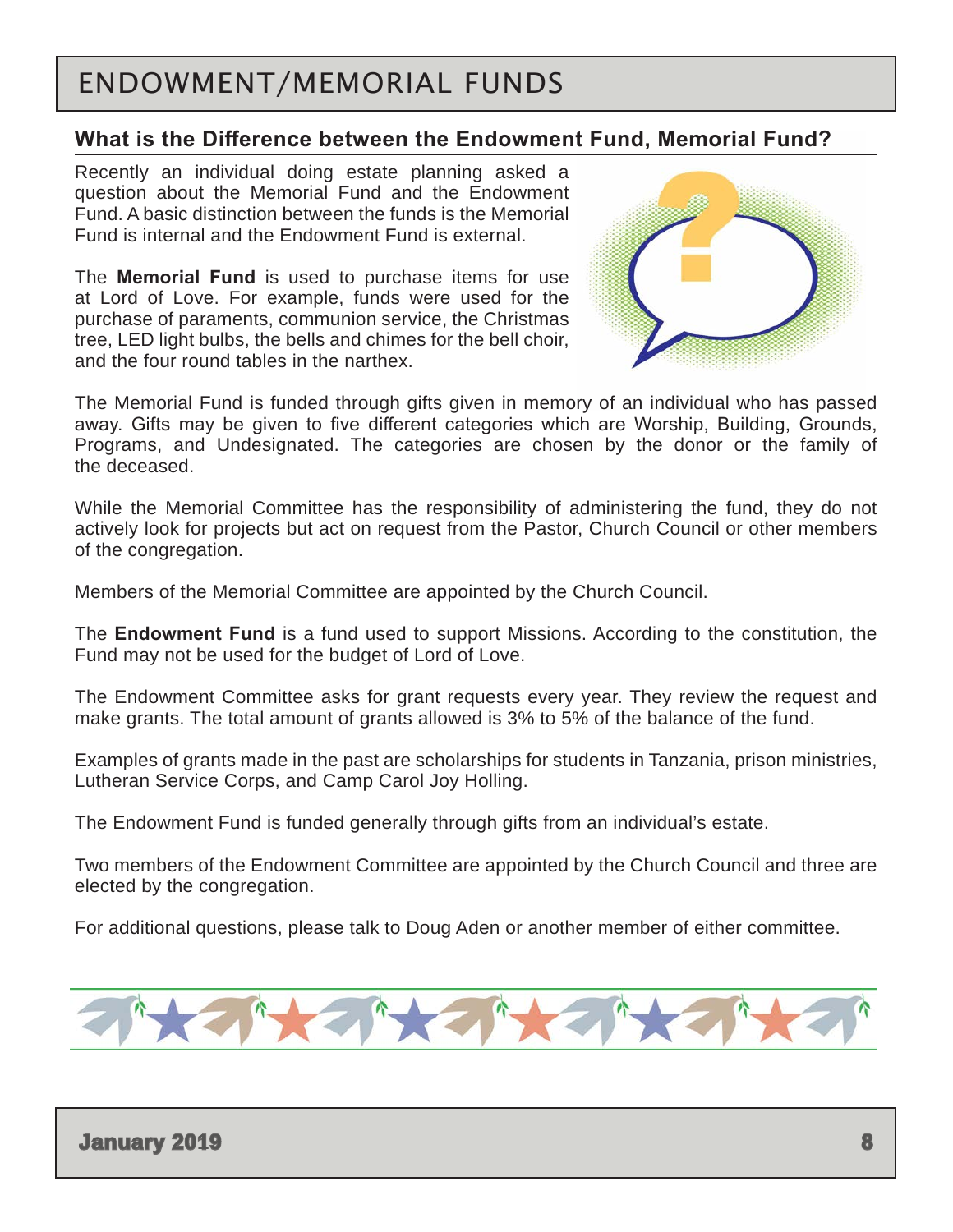# <span id="page-7-0"></span>ENDOWMENT/MEMORIAL FUNDS

### **What is the Difference between the Endowment Fund, Memorial Fund?**

Recently an individual doing estate planning asked a question about the Memorial Fund and the Endowment Fund. A basic distinction between the funds is the Memorial Fund is internal and the Endowment Fund is external.

The **Memorial Fund** is used to purchase items for use at Lord of Love. For example, funds were used for the purchase of paraments, communion service, the Christmas tree, LED light bulbs, the bells and chimes for the bell choir, and the four round tables in the narthex.



The Memorial Fund is funded through gifts given in memory of an individual who has passed away. Gifts may be given to five different categories which are Worship, Building, Grounds, Programs, and Undesignated. The categories are chosen by the donor or the family of the deceased.

While the Memorial Committee has the responsibility of administering the fund, they do not actively look for projects but act on request from the Pastor, Church Council or other members of the congregation.

Members of the Memorial Committee are appointed by the Church Council.

The **Endowment Fund** is a fund used to support Missions. According to the constitution, the Fund may not be used for the budget of Lord of Love.

The Endowment Committee asks for grant requests every year. They review the request and make grants. The total amount of grants allowed is 3% to 5% of the balance of the fund.

Examples of grants made in the past are scholarships for students in Tanzania, prison ministries, Lutheran Service Corps, and Camp Carol Joy Holling.

The Endowment Fund is funded generally through gifts from an individual's estate.

Two members of the Endowment Committee are appointed by the Church Council and three are elected by the congregation.

For additional questions, please talk to Doug Aden or another member of either committee.

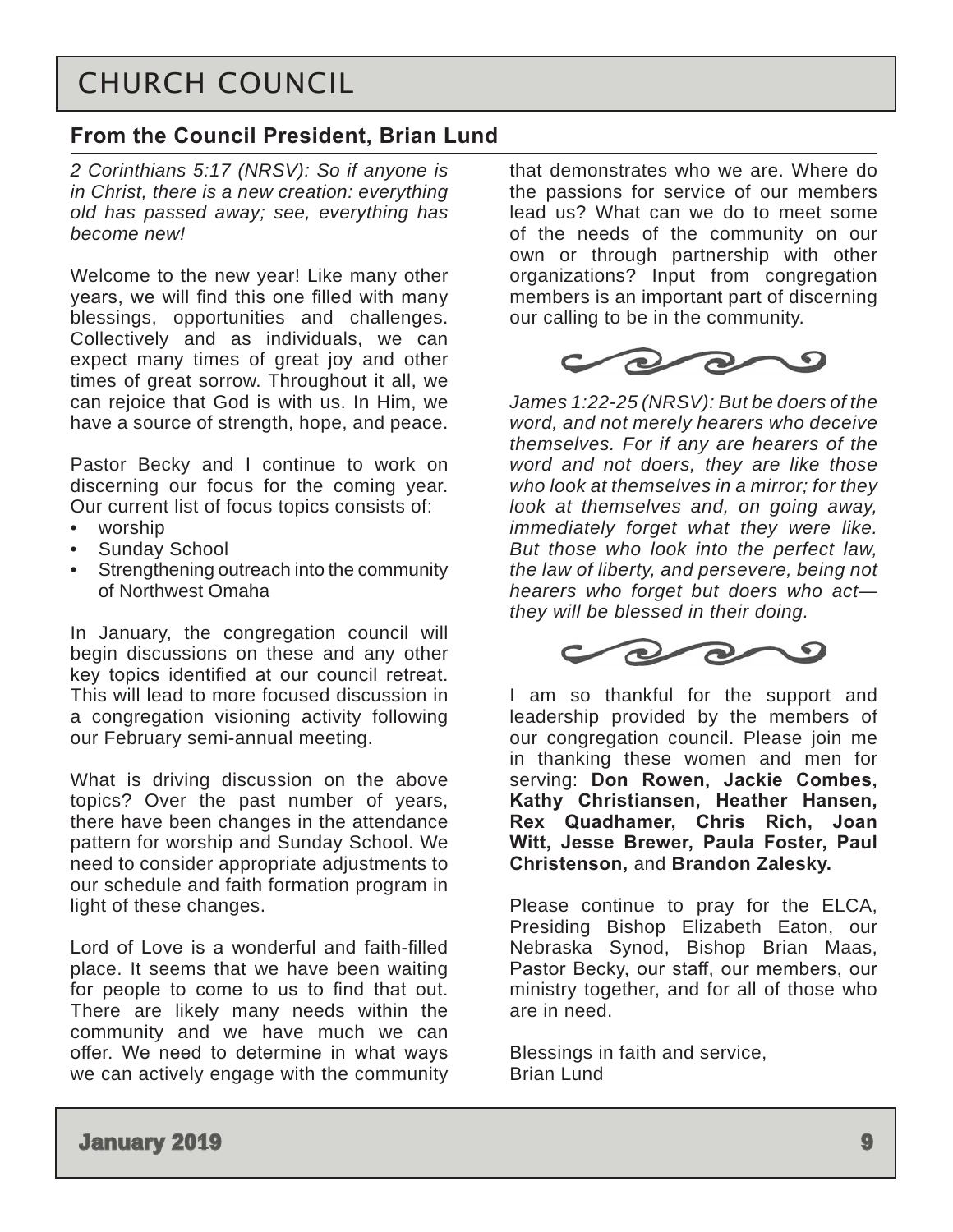# <span id="page-8-0"></span>CHURCH COUNCIL

### **From the Council President, Brian Lund**

*2 Corinthians 5:17 (NRSV): So if anyone is in Christ, there is a new creation: everything old has passed away; see, everything has become new!*

Welcome to the new year! Like many other years, we will find this one filled with many blessings, opportunities and challenges. Collectively and as individuals, we can expect many times of great joy and other times of great sorrow. Throughout it all, we can rejoice that God is with us. In Him, we have a source of strength, hope, and peace.

Pastor Becky and I continue to work on discerning our focus for the coming year. Our current list of focus topics consists of:

- worship
- Sunday School
- Strengthening outreach into the community of Northwest Omaha

In January, the congregation council will begin discussions on these and any other key topics identified at our council retreat. This will lead to more focused discussion in a congregation visioning activity following our February semi-annual meeting.

What is driving discussion on the above topics? Over the past number of years, there have been changes in the attendance pattern for worship and Sunday School. We need to consider appropriate adjustments to our schedule and faith formation program in light of these changes.

Lord of Love is a wonderful and faith-filled place. It seems that we have been waiting for people to come to us to find that out. There are likely many needs within the community and we have much we can offer. We need to determine in what ways we can actively engage with the community

that demonstrates who we are. Where do the passions for service of our members lead us? What can we do to meet some of the needs of the community on our own or through partnership with other organizations? Input from congregation members is an important part of discerning our calling to be in the community.



*James 1:22-25 (NRSV): But be doers of the word, and not merely hearers who deceive themselves. For if any are hearers of the word and not doers, they are like those who look at themselves in a mirror; for they look at themselves and, on going away, immediately forget what they were like. But those who look into the perfect law, the law of liberty, and persevere, being not hearers who forget but doers who act they will be blessed in their doing.*



I am so thankful for the support and leadership provided by the members of our congregation council. Please join me in thanking these women and men for serving: **Don Rowen, Jackie Combes, Kathy Christiansen, Heather Hansen, Rex Quadhamer, Chris Rich, Joan Witt, Jesse Brewer, Paula Foster, Paul Christenson,** and **Brandon Zalesky.**

Please continue to pray for the ELCA, Presiding Bishop Elizabeth Eaton, our Nebraska Synod, Bishop Brian Maas, Pastor Becky, our staff, our members, our ministry together, and for all of those who are in need.

Blessings in faith and service, Brian Lund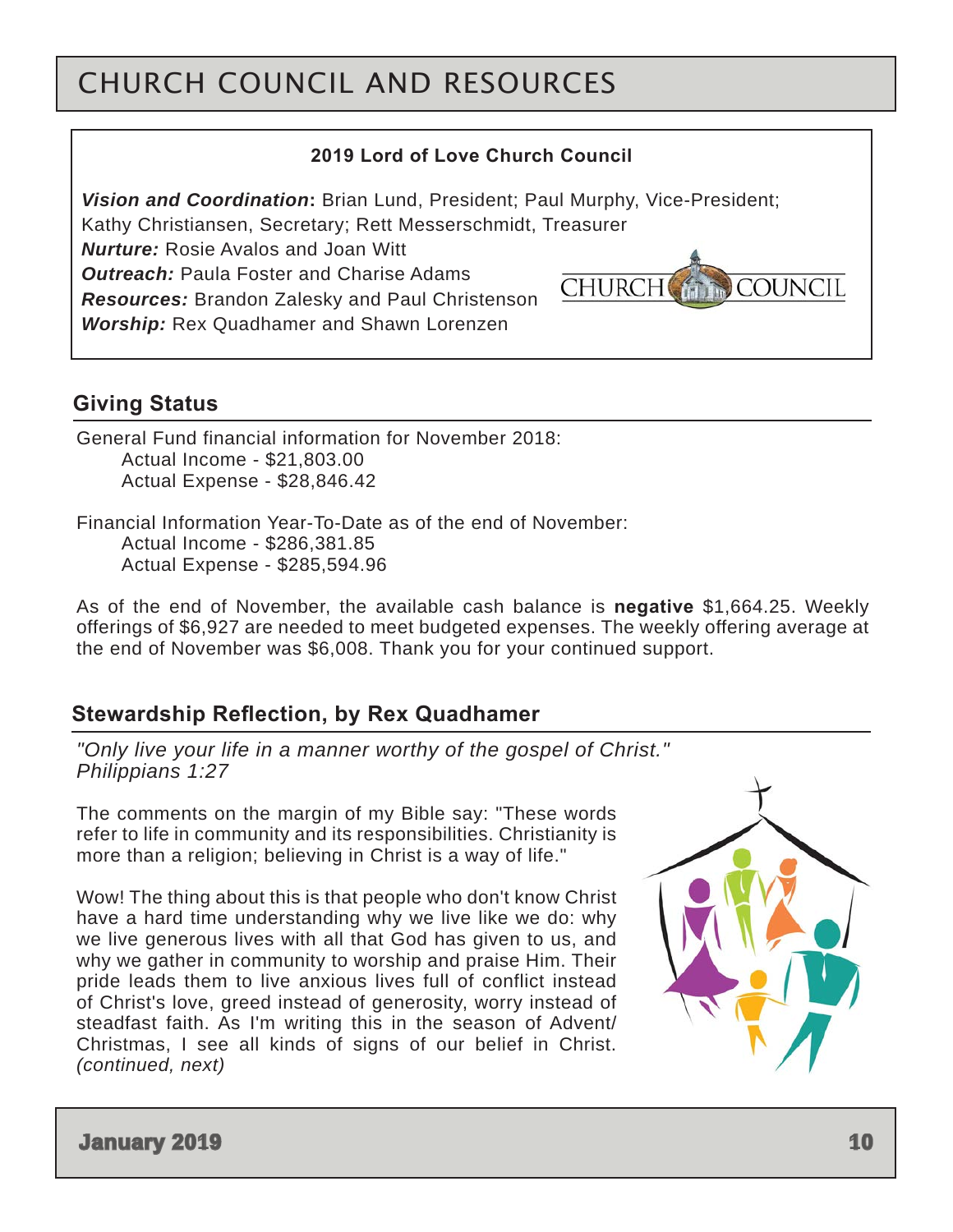# CHURCH COUNCIL AND RESOURCES

#### **2019 Lord of Love Church Council**

*Vision and Coordination***:** Brian Lund, President; Paul Murphy, Vice-President;

Kathy Christiansen, Secretary; Rett Messerschmidt, Treasurer

*Nurture:* Rosie Avalos and Joan Witt

*Outreach:* Paula Foster and Charise Adams

*Resources:* Brandon Zalesky and Paul Christenson *Worship:* Rex Quadhamer and Shawn Lorenzen

### **Giving Status**

General Fund financial information for November 2018: Actual Income - \$21,803.00 Actual Expense - \$28,846.42

Financial Information Year-To-Date as of the end of November: Actual Income - \$286,381.85 Actual Expense - \$285,594.96

As of the end of November, the available cash balance is **negative** \$1,664.25. Weekly offerings of \$6,927 are needed to meet budgeted expenses. The weekly offering average at the end of November was \$6,008. Thank you for your continued support.

### **Stewardship Reflection, by Rex Quadhamer**

*"Only live your life in a manner worthy of the gospel of Christ." Philippians 1:27* 

The comments on the margin of my Bible say: "These words refer to life in community and its responsibilities. Christianity is more than a religion; believing in Christ is a way of life."

Wow! The thing about this is that people who don't know Christ have a hard time understanding why we live like we do: why we live generous lives with all that God has given to us, and why we gather in community to worship and praise Him. Their pride leads them to live anxious lives full of conflict instead of Christ's love, greed instead of generosity, worry instead of steadfast faith. As I'm writing this in the season of Advent/ Christmas, I see all kinds of signs of our belief in Christ. *(continued, next)*



**COUNCIL** 

**CHURCH**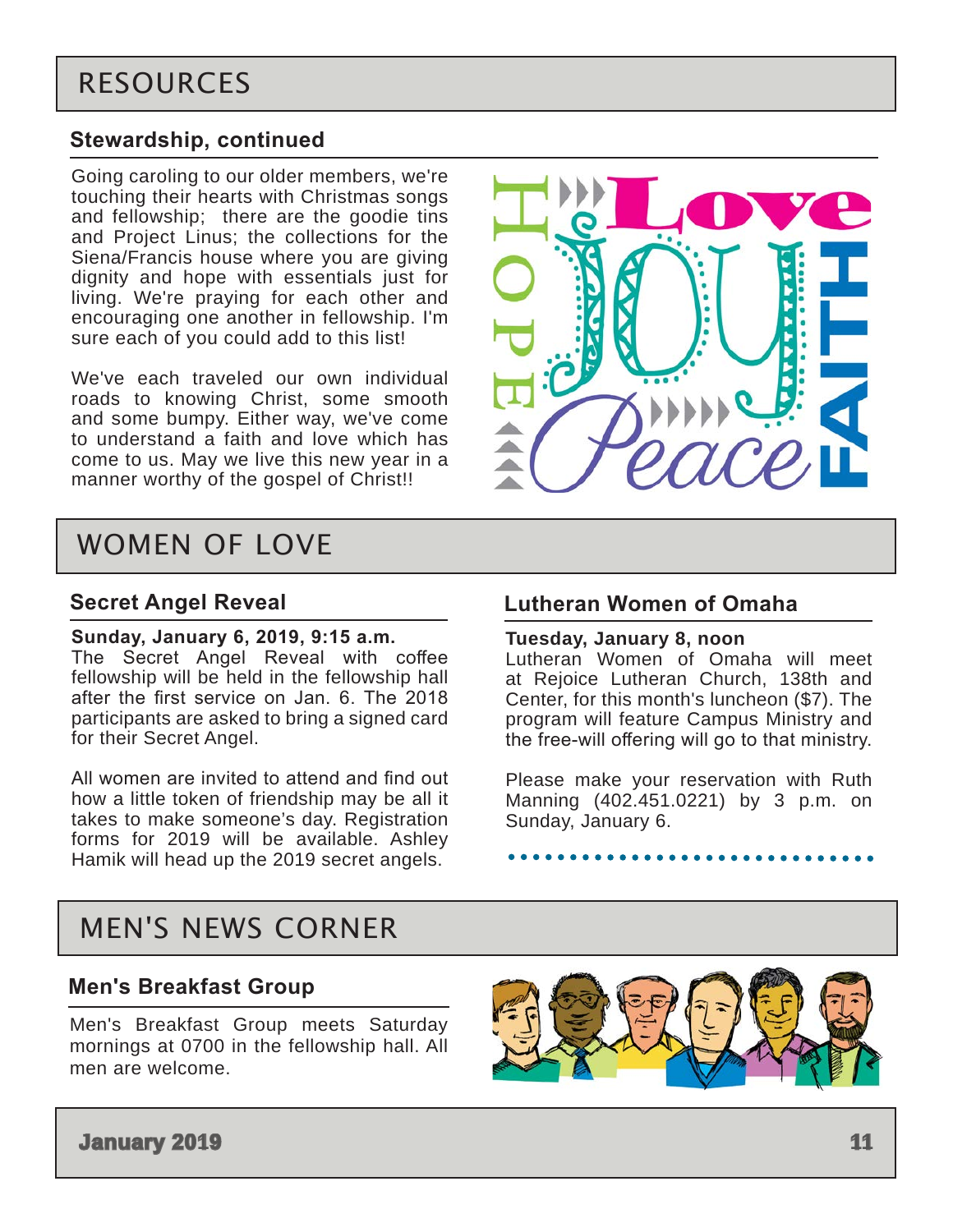### <span id="page-10-0"></span>**Stewardship, continued**

Going caroling to our older members, we're touching their hearts with Christmas songs and fellowship; there are the goodie tins and Project Linus; the collections for the Siena/Francis house where you are giving dignity and hope with essentials just for living. We're praying for each other and encouraging one another in fellowship. I'm sure each of you could add to this list!

We've each traveled our own individual roads to knowing Christ, some smooth and some bumpy. Either way, we've come to understand a faith and love which has come to us. May we live this new year in a manner worthy of the gospel of Christ!!



# WOMEN OF LOVE

### **Secret Angel Reveal**

#### **Sunday, January 6, 2019, 9:15 a.m.**

The Secret Angel Reveal with coffee fellowship will be held in the fellowship hall after the first service on Jan. 6. The 2018 participants are asked to bring a signed card for their Secret Angel.

All women are invited to attend and find out how a little token of friendship may be all it takes to make someone's day. Registration forms for 2019 will be available. Ashley Hamik will head up the 2019 secret angels.

### **Lutheran Women of Omaha**

#### **Tuesday, January 8, noon**

Lutheran Women of Omaha will meet at Rejoice Lutheran Church, 138th and Center, for this month's luncheon (\$7). The program will feature Campus Ministry and the free-will offering will go to that ministry.

Please make your reservation with Ruth Manning (402.451.0221) by 3 p.m. on Sunday, January 6.

# MEN'S NEWS CORNER

### **Men's Breakfast Group**

Men's Breakfast Group meets Saturday mornings at 0700 in the fellowship hall. All men are welcome.



**January 2019 11**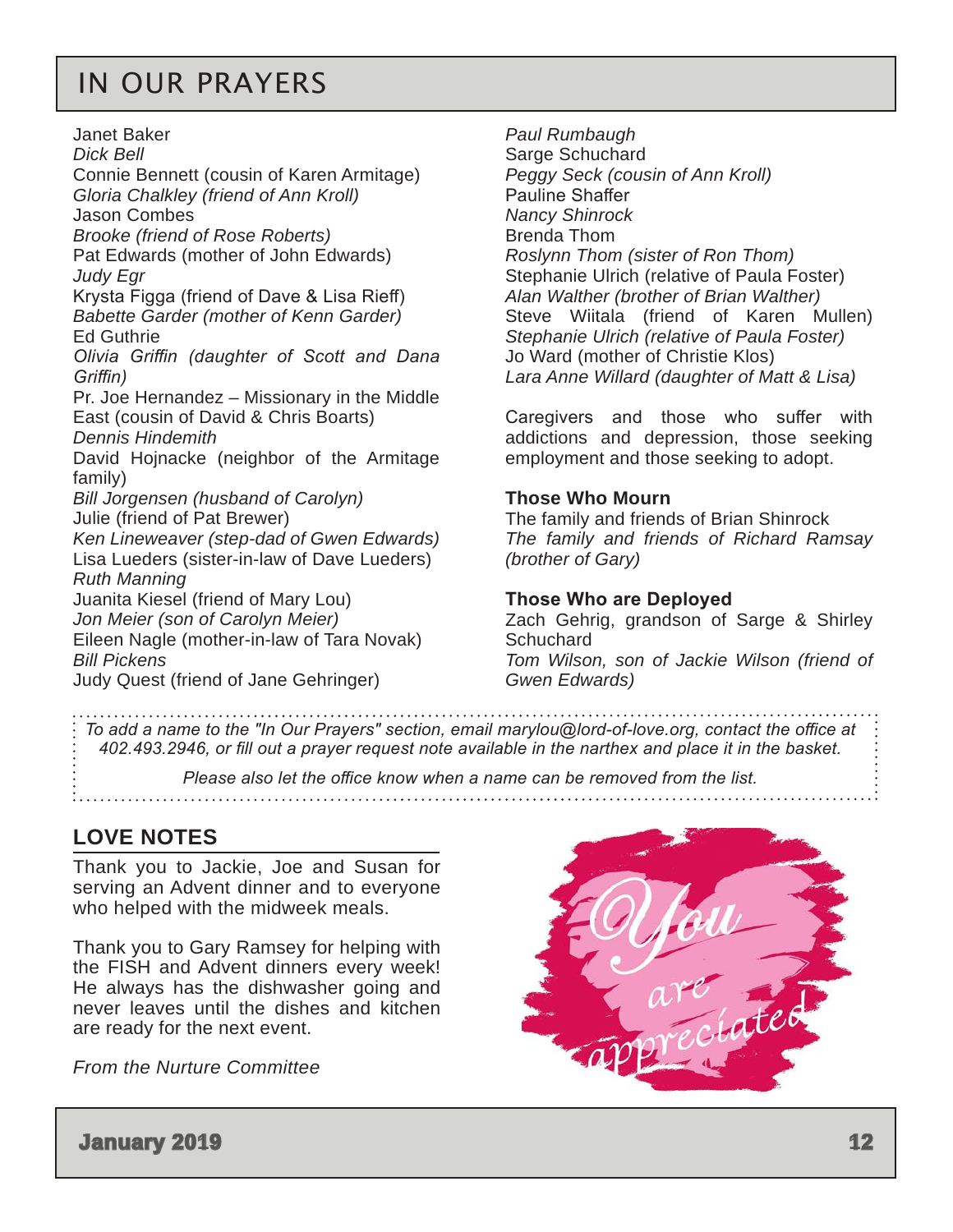# <span id="page-11-0"></span>IN OUR PRAYERS

Janet Baker *Dick Bell* Connie Bennett (cousin of Karen Armitage) *Gloria Chalkley (friend of Ann Kroll)* Jason Combes *Brooke (friend of Rose Roberts)* Pat Edwards (mother of John Edwards) *Judy Egr* Krysta Figga (friend of Dave & Lisa Rieff) *Babette Garder (mother of Kenn Garder)* Ed Guthrie *Olivia Griffin (daughter of Scott and Dana Griffin)* Pr. Joe Hernandez – Missionary in the Middle East (cousin of David & Chris Boarts) *Dennis Hindemith* David Hojnacke (neighbor of the Armitage family) *Bill Jorgensen (husband of Carolyn)* Julie (friend of Pat Brewer) *Ken Lineweaver (step-dad of Gwen Edwards)* Lisa Lueders (sister-in-law of Dave Lueders) *Ruth Manning* Juanita Kiesel (friend of Mary Lou) *Jon Meier (son of Carolyn Meier)* Eileen Nagle (mother-in-law of Tara Novak) *Bill Pickens* Judy Quest (friend of Jane Gehringer)

*Paul Rumbaugh* Sarge Schuchard *Peggy Seck (cousin of Ann Kroll)* Pauline Shaffer *Nancy Shinrock* Brenda Thom *Roslynn Thom (sister of Ron Thom)* Stephanie Ulrich (relative of Paula Foster) *Alan Walther (brother of Brian Walther)*  Steve Wiitala (friend of Karen Mullen) *Stephanie Ulrich (relative of Paula Foster)*  Jo Ward (mother of Christie Klos) *Lara Anne Willard (daughter of Matt & Lisa)*

Caregivers and those who suffer with addictions and depression, those seeking employment and those seeking to adopt.

#### **Those Who Mourn**

The family and friends of Brian Shinrock *The family and friends of Richard Ramsay (brother of Gary)*

#### **Those Who are Deployed**

Zach Gehrig, grandson of Sarge & Shirley **Schuchard** *Tom Wilson, son of Jackie Wilson (friend of Gwen Edwards)*

*To add a name to the "In Our Prayers" section, email marylou@lord-of-love.org, contact the office at 402.493.2946, or fill out a prayer request note available in the narthex and place it in the basket.* 

*Please also let the office know when a name can be removed from the list.*

### **LOVE NOTES**

Thank you to Jackie, Joe and Susan for serving an Advent dinner and to everyone who helped with the midweek meals.

Thank you to Gary Ramsey for helping with the FISH and Advent dinners every week! He always has the dishwasher going and never leaves until the dishes and kitchen are ready for the next event.

*From the Nurture Committee*



**January 2019 12**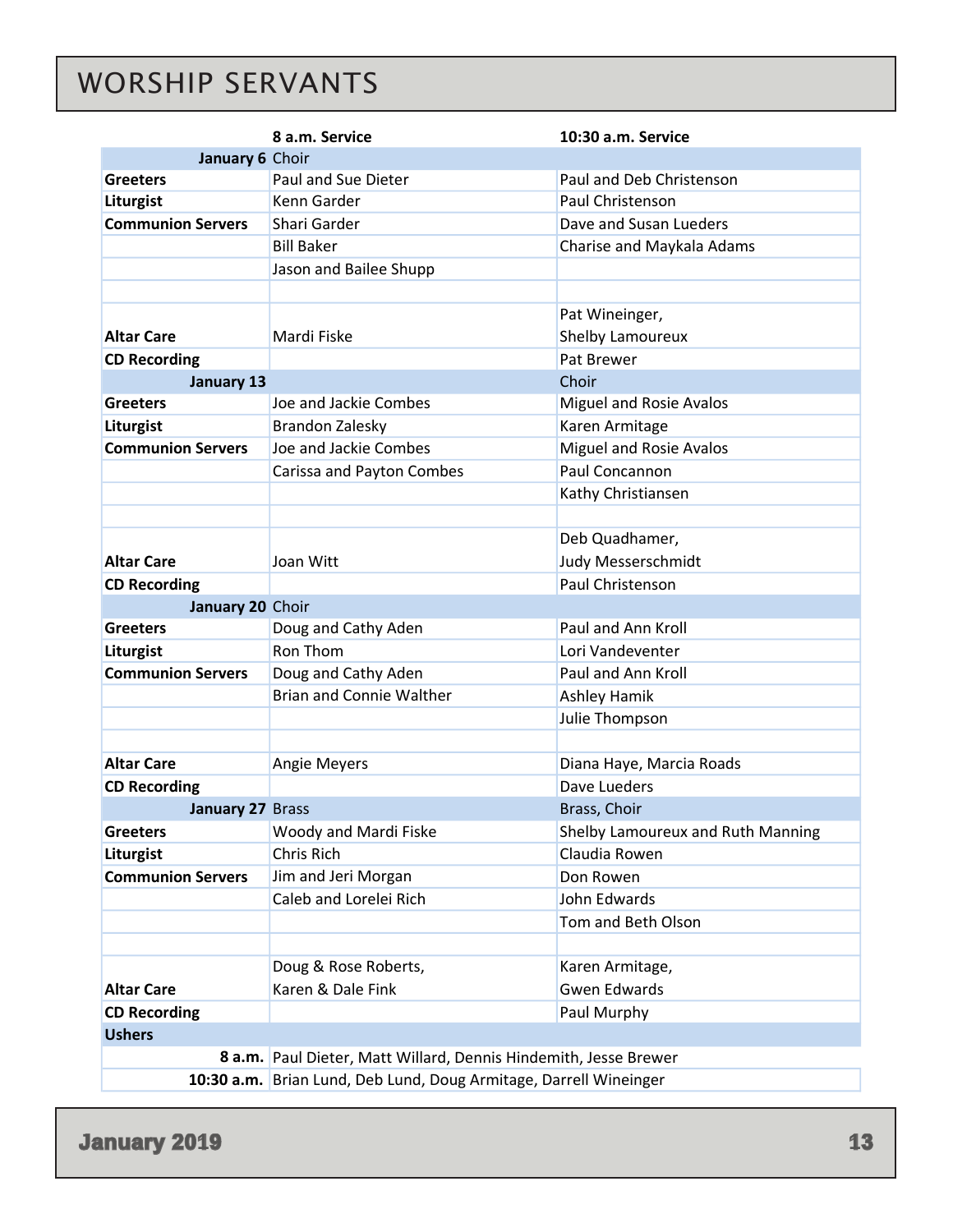# <span id="page-12-0"></span>WORSHIP SERVANTS

|                          | 8 a.m. Service                                                    | 10:30 a.m. Service                |  |  |  |
|--------------------------|-------------------------------------------------------------------|-----------------------------------|--|--|--|
| January 6 Choir          |                                                                   |                                   |  |  |  |
| <b>Greeters</b>          | Paul and Sue Dieter                                               | Paul and Deb Christenson          |  |  |  |
| Liturgist                | Kenn Garder                                                       | Paul Christenson                  |  |  |  |
| <b>Communion Servers</b> | Shari Garder                                                      | Dave and Susan Lueders            |  |  |  |
|                          | <b>Bill Baker</b>                                                 | Charise and Maykala Adams         |  |  |  |
|                          | Jason and Bailee Shupp                                            |                                   |  |  |  |
|                          |                                                                   |                                   |  |  |  |
|                          |                                                                   | Pat Wineinger,                    |  |  |  |
| <b>Altar Care</b>        | Mardi Fiske                                                       | Shelby Lamoureux                  |  |  |  |
| <b>CD Recording</b>      |                                                                   | Pat Brewer                        |  |  |  |
| <b>January 13</b>        |                                                                   | Choir                             |  |  |  |
| <b>Greeters</b>          | Joe and Jackie Combes                                             | Miguel and Rosie Avalos           |  |  |  |
| Liturgist                | Brandon Zalesky                                                   | Karen Armitage                    |  |  |  |
| <b>Communion Servers</b> | Joe and Jackie Combes                                             | Miguel and Rosie Avalos           |  |  |  |
|                          | Carissa and Payton Combes                                         | Paul Concannon                    |  |  |  |
|                          |                                                                   | Kathy Christiansen                |  |  |  |
|                          |                                                                   |                                   |  |  |  |
|                          |                                                                   | Deb Quadhamer,                    |  |  |  |
| <b>Altar Care</b>        | Joan Witt                                                         | Judy Messerschmidt                |  |  |  |
| <b>CD Recording</b>      |                                                                   | Paul Christenson                  |  |  |  |
| January 20 Choir         |                                                                   |                                   |  |  |  |
| <b>Greeters</b>          | Doug and Cathy Aden                                               | Paul and Ann Kroll                |  |  |  |
| Liturgist                | Ron Thom                                                          | Lori Vandeventer                  |  |  |  |
| <b>Communion Servers</b> | Doug and Cathy Aden                                               | Paul and Ann Kroll                |  |  |  |
|                          | <b>Brian and Connie Walther</b>                                   | Ashley Hamik                      |  |  |  |
|                          |                                                                   | Julie Thompson                    |  |  |  |
|                          |                                                                   |                                   |  |  |  |
| <b>Altar Care</b>        | <b>Angie Meyers</b>                                               | Diana Haye, Marcia Roads          |  |  |  |
| <b>CD Recording</b>      | Dave Lueders                                                      |                                   |  |  |  |
| January 27 Brass         |                                                                   | Brass, Choir                      |  |  |  |
| <b>Greeters</b>          | Woody and Mardi Fiske                                             | Shelby Lamoureux and Ruth Manning |  |  |  |
| Liturgist                | Chris Rich                                                        | Claudia Rowen                     |  |  |  |
| <b>Communion Servers</b> | Jim and Jeri Morgan                                               | Don Rowen                         |  |  |  |
|                          | Caleb and Lorelei Rich                                            | John Edwards                      |  |  |  |
|                          |                                                                   | Tom and Beth Olson                |  |  |  |
|                          |                                                                   |                                   |  |  |  |
|                          | Doug & Rose Roberts,                                              | Karen Armitage,                   |  |  |  |
| <b>Altar Care</b>        | Karen & Dale Fink                                                 | <b>Gwen Edwards</b>               |  |  |  |
| <b>CD Recording</b>      |                                                                   | Paul Murphy                       |  |  |  |
| <b>Ushers</b>            |                                                                   |                                   |  |  |  |
|                          | 8 a.m. Paul Dieter, Matt Willard, Dennis Hindemith, Jesse Brewer  |                                   |  |  |  |
|                          | 10:30 a.m. Brian Lund, Deb Lund, Doug Armitage, Darrell Wineinger |                                   |  |  |  |